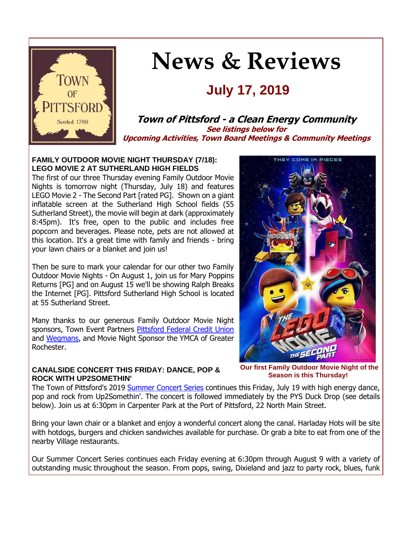

# **News & Reviews**

## **July 17, 2019**

#### **Town of Pittsford - a Clean Energy Community See listings below for Upcoming Activities, Town Board Meetings & Community Meetings**

#### **FAMILY OUTDOOR MOVIE NIGHT THURSDAY (7/18): LEGO MOVIE 2 AT SUTHERLAND HIGH FIELDS**

The first of our three Thursday evening Family Outdoor Movie Nights is tomorrow night (Thursday, July 18) and features LEGO Movie 2 - The Second Part [rated PG]. Shown on a giant inflatable screen at the Sutherland High School fields (55 Sutherland Street), the movie will begin at dark (approximately 8:45pm). It's free, open to the public and includes free popcorn and beverages. Please note, pets are not allowed at this location. It's a great time with family and friends - bring your lawn chairs or a blanket and join us!

Then be sure to mark your calendar for our other two Family Outdoor Movie Nights - On August 1, join us for Mary Poppins Returns [PG] and on August 15 we'll be showing Ralph Breaks the Internet [PG]. Pittsford Sutherland High School is located at 55 Sutherland Street.

Many thanks to our generous Family Outdoor Movie Night sponsors, Town Event Partners [Pittsford Federal Credit Union](http://r20.rs6.net/tn.jsp?f=001FzBtVmhWFRTGpRoPogF4hpVNE6fiST77Wh-8TjJCqrysiddaF9XxbwM7tlfxGjOAdDh_kzvz67S7wqjWdexufFX03lU3kOlSSpkMYRJ7yElRLvYrqE69MRS_hYpYbMGhCRGlQzWXp3m6eTD2oF9Msl0mgrPXCr5RHHeSEYiAHQOtgp8BIqNOTSqLv3YjGJKJKTXLCaeybWu-4ccyC3cpIkGxdju89gLtI3vxS7scBZ6TRgAe1aXZPR3eOIPrDoAmIXKpKmBLZxLlJ4xsYIldQsQN2Tldo1NRO8wom9lXhiZPCYAF7a9ToQ==&c=f6doUN7CL5P8sS6b4MquVnZdJSpUgqyWz_IYusDOdvtcP7OIhoE-6A==&ch=aPRzLQFy8Q0ELC0uZaR2e5WhwBxGwoF6-A7zKIAvADUnP_pYAjW3Qg==) and [Wegmans,](http://r20.rs6.net/tn.jsp?f=001FzBtVmhWFRTGpRoPogF4hpVNE6fiST77Wh-8TjJCqrysiddaF9Xxb-ykGSPD6LynamQ_VWgRKd1ioWbVvqJofBI2C3l3_xQzHjlUUJkjuA1up_CxAyBso8Ow5lAa8b9SKdkaN3300IVMfElRhhgLbu0BTe9AwJwVBQmGAcsrl3J_owhuPyhjzU7k0Qsn2Ltsb9U5L2MsOkY_HEPF9LjffZ_-LsHctY6Fk00sAcJWU7xg0PPOFJ6wIFHfF4_aFHaTdxfU9JXT_tTtNCO_9E9G08sOO25TU6DxvEnc9qyFVcb-1xVBKsmGN5DfmVi6g5l6&c=f6doUN7CL5P8sS6b4MquVnZdJSpUgqyWz_IYusDOdvtcP7OIhoE-6A==&ch=aPRzLQFy8Q0ELC0uZaR2e5WhwBxGwoF6-A7zKIAvADUnP_pYAjW3Qg==) and Movie Night Sponsor the YMCA of Greater Rochester.

#### **CANALSIDE CONCERT THIS FRIDAY: DANCE, POP & ROCK WITH UP2SOMETHIN'**

**Our first Family Outdoor Movie Night of the Season is this Thursday!**

The Town of Pittsford's 2019 [Summer Concert Series](http://r20.rs6.net/tn.jsp?f=001FzBtVmhWFRTGpRoPogF4hpVNE6fiST77Wh-8TjJCqrysiddaF9Xxb9DxGYRYDACR21PzUnjntvX9VtmiF7DjqrF7Q_z3azMWEcczUZwh9TKH9ihhy-AlVzODY_z6WjM-M53qtD1L1ogeiiQ9wzkaoyEgtqESCUAOD0ApOVLOF3H4OTI3fNd1_NZi_xSIa2IiHBMChqGeTqHFqJUAQl6UYpXf7ltYsVPw8H8kCJU0IlTrfcIMkH5zmwoGls77t65ukzujcWprgVtDQ1znqxVL8iwn8fV5J3gyvUXx5ZUAEASpjvovUWoo75L5FbH9mx2_&c=f6doUN7CL5P8sS6b4MquVnZdJSpUgqyWz_IYusDOdvtcP7OIhoE-6A==&ch=aPRzLQFy8Q0ELC0uZaR2e5WhwBxGwoF6-A7zKIAvADUnP_pYAjW3Qg==) continues this Friday, July 19 with high energy dance, pop and rock from Up2Somethin'. The concert is followed immediately by the PYS Duck Drop (see details below). Join us at 6:30pm in Carpenter Park at the Port of Pittsford, 22 North Main Street.

Bring your lawn chair or a blanket and enjoy a wonderful concert along the canal. Harladay Hots will be site with hotdogs, burgers and chicken sandwiches available for purchase. Or grab a bite to eat from one of the nearby Village restaurants.

Our Summer Concert Series continues each Friday evening at 6:30pm through August 9 with a variety of outstanding music throughout the season. From pops, swing, Dixieland and jazz to party rock, blues, funk

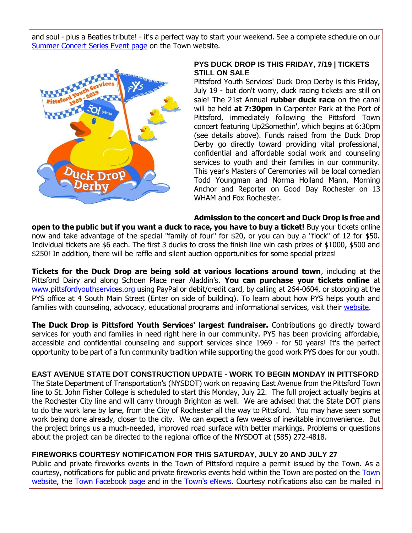and soul - plus a Beatles tribute! - it's a perfect way to start your weekend. See a complete schedule on our [Summer Concert Series Event page](http://r20.rs6.net/tn.jsp?f=001FzBtVmhWFRTGpRoPogF4hpVNE6fiST77Wh-8TjJCqrysiddaF9Xxb9DxGYRYDACR21PzUnjntvX9VtmiF7DjqrF7Q_z3azMWEcczUZwh9TKH9ihhy-AlVzODY_z6WjM-M53qtD1L1ogeiiQ9wzkaoyEgtqESCUAOD0ApOVLOF3H4OTI3fNd1_NZi_xSIa2IiHBMChqGeTqHFqJUAQl6UYpXf7ltYsVPw8H8kCJU0IlTrfcIMkH5zmwoGls77t65ukzujcWprgVtDQ1znqxVL8iwn8fV5J3gyvUXx5ZUAEASpjvovUWoo75L5FbH9mx2_&c=f6doUN7CL5P8sS6b4MquVnZdJSpUgqyWz_IYusDOdvtcP7OIhoE-6A==&ch=aPRzLQFy8Q0ELC0uZaR2e5WhwBxGwoF6-A7zKIAvADUnP_pYAjW3Qg==) on the Town website.



#### **PYS DUCK DROP IS THIS FRIDAY, 7/19 | TICKETS STILL ON SALE**

Pittsford Youth Services' Duck Drop Derby is this Friday, July 19 - but don't worry, duck racing tickets are still on sale! The 21st Annual **rubber duck race** on the canal will be held **at 7:30pm** in Carpenter Park at the Port of Pittsford, immediately following the Pittsford Town concert featuring Up2Somethin', which begins at 6:30pm (see details above). Funds raised from the Duck Drop Derby go directly toward providing vital professional, confidential and affordable social work and counseling services to youth and their families in our community. This year's Masters of Ceremonies will be local comedian Todd Youngman and Norma Holland Mann, Morning Anchor and Reporter on Good Day Rochester on 13 WHAM and Fox Rochester.

**Admission to the concert and Duck Drop is free and** 

**open to the public but if you want a duck to race, you have to buy a ticket!** Buy your tickets online now and take advantage of the special "family of four" for \$20, or you can buy a "flock" of 12 for \$50. Individual tickets are \$6 each. The first 3 ducks to cross the finish line win cash prizes of \$1000, \$500 and \$250! In addition, there will be raffle and silent auction opportunities for some special prizes!

**Tickets for the Duck Drop are being sold at various locations around town**, including at the Pittsford Dairy and along Schoen Place near Aladdin's. **You can purchase your tickets online** at [www.pittsfordyouthservices.org](http://r20.rs6.net/tn.jsp?f=001FzBtVmhWFRTGpRoPogF4hpVNE6fiST77Wh-8TjJCqrysiddaF9Xxb-X3tD2s-3YeocbcU_DpsZ2O10iDqzDYy4IciOlSjWVrS4mNPoqeB8C7EwfHLl0S3sUJg4Mcd8spZhyb5RNt13b1lgD-ocWIt3fU7Ze3KNutw-Mf1x4P4aN6G-l0eX50cu8axNwEdaNI89mUYZxFF_EqwbkXhaZ4qiMMtTEGGv2Ta9ZAntkrXvzjKt3ERp_FwgI1sfzEe2ejTIbvv3PaylDOUVR2RqxoUf1tr67s8auFiJkoLlKyHEUPwbQ6hwGpXw==&c=f6doUN7CL5P8sS6b4MquVnZdJSpUgqyWz_IYusDOdvtcP7OIhoE-6A==&ch=aPRzLQFy8Q0ELC0uZaR2e5WhwBxGwoF6-A7zKIAvADUnP_pYAjW3Qg==) using PayPal or debit/credit card, by calling at 264-0604, or stopping at the PYS office at 4 South Main Street (Enter on side of building). To learn about how PYS helps youth and families with counseling, advocacy, educational programs and informational services, visit their [website.](http://r20.rs6.net/tn.jsp?f=001FzBtVmhWFRTGpRoPogF4hpVNE6fiST77Wh-8TjJCqrysiddaF9Xxb-X3tD2s-3YeocbcU_DpsZ2O10iDqzDYy4IciOlSjWVrS4mNPoqeB8C7EwfHLl0S3sUJg4Mcd8spZhyb5RNt13b1lgD-ocWIt3fU7Ze3KNutw-Mf1x4P4aN6G-l0eX50cu8axNwEdaNI89mUYZxFF_EqwbkXhaZ4qiMMtTEGGv2Ta9ZAntkrXvzjKt3ERp_FwgI1sfzEe2ejTIbvv3PaylDOUVR2RqxoUf1tr67s8auFiJkoLlKyHEUPwbQ6hwGpXw==&c=f6doUN7CL5P8sS6b4MquVnZdJSpUgqyWz_IYusDOdvtcP7OIhoE-6A==&ch=aPRzLQFy8Q0ELC0uZaR2e5WhwBxGwoF6-A7zKIAvADUnP_pYAjW3Qg==)

**The Duck Drop is Pittsford Youth Services' largest fundraiser.** Contributions go directly toward services for youth and families in need right here in our community. PYS has been providing affordable, accessible and confidential counseling and support services since 1969 - for 50 years! It's the perfect opportunity to be part of a fun community tradition while supporting the good work PYS does for our youth.

#### **EAST AVENUE STATE DOT CONSTRUCTION UPDATE - WORK TO BEGIN MONDAY IN PITTSFORD**

The State Department of Transportation's (NYSDOT) work on repaving East Avenue from the Pittsford Town line to St. John Fisher College is scheduled to start this Monday, July 22. The full project actually begins at the Rochester City line and will carry through Brighton as well. We are advised that the State DOT plans to do the work lane by lane, from the City of Rochester all the way to Pittsford. You may have seen some work being done already, closer to the city. We can expect a few weeks of inevitable inconvenience. But the project brings us a much-needed, improved road surface with better markings. Problems or questions about the project can be directed to the regional office of the NYSDOT at (585) 272-4818.

#### **FIREWORKS COURTESY NOTIFICATION FOR THIS SATURDAY, JULY 20 AND JULY 27**

Public and private fireworks events in the Town of Pittsford require a permit issued by the Town. As a courtesy, notifications for public and private fireworks events held within the Town are posted on the [Town](http://r20.rs6.net/tn.jsp?f=001FzBtVmhWFRTGpRoPogF4hpVNE6fiST77Wh-8TjJCqrysiddaF9Xxb8r7aFpahzpGjBez612yribI5xjgyP2wnGQoafXfxEZk7_zxZI-FkgIgiKMNBHlGJeQWyGIy_tW4xlseMYcvlVSGCLRR2f5J5LmzBK6lIdHR16Tw5SSu1iQXGM1XuV9UJJb-Li5pxU6s_pr1uTyqD6tb0ra_Kol6wlHiXCDxgGOc4ay2Isjme-GDjf2agyl_oSkxgLdbPv6CmSXTOk6jp13SVyj7hM2JegEmX0NZtIGEtkI1kZUzMn43RcjCVAwvug34IvfeDRCFjIyBAEpjCm4=&c=f6doUN7CL5P8sS6b4MquVnZdJSpUgqyWz_IYusDOdvtcP7OIhoE-6A==&ch=aPRzLQFy8Q0ELC0uZaR2e5WhwBxGwoF6-A7zKIAvADUnP_pYAjW3Qg==)  [website,](http://r20.rs6.net/tn.jsp?f=001FzBtVmhWFRTGpRoPogF4hpVNE6fiST77Wh-8TjJCqrysiddaF9Xxb8r7aFpahzpGjBez612yribI5xjgyP2wnGQoafXfxEZk7_zxZI-FkgIgiKMNBHlGJeQWyGIy_tW4xlseMYcvlVSGCLRR2f5J5LmzBK6lIdHR16Tw5SSu1iQXGM1XuV9UJJb-Li5pxU6s_pr1uTyqD6tb0ra_Kol6wlHiXCDxgGOc4ay2Isjme-GDjf2agyl_oSkxgLdbPv6CmSXTOk6jp13SVyj7hM2JegEmX0NZtIGEtkI1kZUzMn43RcjCVAwvug34IvfeDRCFjIyBAEpjCm4=&c=f6doUN7CL5P8sS6b4MquVnZdJSpUgqyWz_IYusDOdvtcP7OIhoE-6A==&ch=aPRzLQFy8Q0ELC0uZaR2e5WhwBxGwoF6-A7zKIAvADUnP_pYAjW3Qg==) the [Town Facebook page](http://r20.rs6.net/tn.jsp?f=001FzBtVmhWFRTGpRoPogF4hpVNE6fiST77Wh-8TjJCqrysiddaF9Xxb81RfUbyA9ebnwx7MLOmoCmHmOpFrERXQGLUEO7ldlnIUhLYYzTp6nAfEuAx1nDwPQ3issJ-v_taz2_wqoipIAtVlFsEqupd7YreZJlpqJBUdZS2GOOrHXqf9n5n3oOT7B9VghnKaneGTCWJa4rSJSzMbqP2pkDNpY0Z__LMK5B3&c=f6doUN7CL5P8sS6b4MquVnZdJSpUgqyWz_IYusDOdvtcP7OIhoE-6A==&ch=aPRzLQFy8Q0ELC0uZaR2e5WhwBxGwoF6-A7zKIAvADUnP_pYAjW3Qg==) and in the [Town's eNews.](http://r20.rs6.net/tn.jsp?f=001FzBtVmhWFRTGpRoPogF4hpVNE6fiST77Wh-8TjJCqrysiddaF9Xxb81RfUbyA9ebBhSK3jg3AeKFcjRvs7yNFAPHm4whuiWVmNQ8OxE2oxtm9MK0gamtgsjXd6JfEIrX9U3AoWceQoZ1KULcrK5DPHkLfEO_zHYGVJSplgorzIR9yKSsC3y4qHTIpIAMBvB1kcUOxIzyUw_dwr__cjEyZqTiBTE82uQ8OhTHGF384k7HOMe0J-3nVYFeiRr9t6sbBHkFPnFN80eQJugPgu2f4O6vTHB7MpO2LAkn1qie3JrIVHheMZclAg==&c=f6doUN7CL5P8sS6b4MquVnZdJSpUgqyWz_IYusDOdvtcP7OIhoE-6A==&ch=aPRzLQFy8Q0ELC0uZaR2e5WhwBxGwoF6-A7zKIAvADUnP_pYAjW3Qg==) Courtesy notifications also can be mailed in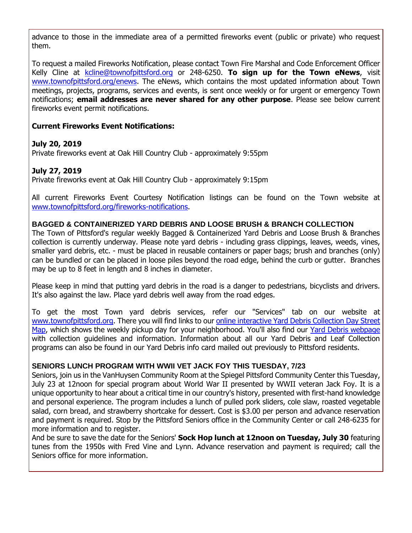advance to those in the immediate area of a permitted fireworks event (public or private) who request them.

To request a mailed Fireworks Notification, please contact Town Fire Marshal and Code Enforcement Officer Kelly Cline at [kcline@townofpittsford.org](mailto:kcline@townofpittsford.or?subject=Town%20Fireworks%20Courtesy%20Notification) or 248-6250. **To sign up for the Town eNews**, visit [www.townofpittsford.org/enews.](http://r20.rs6.net/tn.jsp?f=001FzBtVmhWFRTGpRoPogF4hpVNE6fiST77Wh-8TjJCqrysiddaF9Xxb81RfUbyA9ebBhSK3jg3AeKFcjRvs7yNFAPHm4whuiWVmNQ8OxE2oxtm9MK0gamtgsjXd6JfEIrX9U3AoWceQoZ1KULcrK5DPHkLfEO_zHYGVJSplgorzIR9yKSsC3y4qHTIpIAMBvB1kcUOxIzyUw_dwr__cjEyZqTiBTE82uQ8OhTHGF384k7HOMe0J-3nVYFeiRr9t6sbBHkFPnFN80eQJugPgu2f4O6vTHB7MpO2LAkn1qie3JrIVHheMZclAg==&c=f6doUN7CL5P8sS6b4MquVnZdJSpUgqyWz_IYusDOdvtcP7OIhoE-6A==&ch=aPRzLQFy8Q0ELC0uZaR2e5WhwBxGwoF6-A7zKIAvADUnP_pYAjW3Qg==) The eNews, which contains the most updated information about Town meetings, projects, programs, services and events, is sent once weekly or for urgent or emergency Town notifications; **email addresses are never shared for any other purpose**. Please see below current fireworks event permit notifications.

#### **Current Fireworks Event Notifications:**

#### **July 20, 2019**

Private fireworks event at Oak Hill Country Club - approximately 9:55pm

#### **July 27, 2019**

Private fireworks event at Oak Hill Country Club - approximately 9:15pm

All current Fireworks Event Courtesy Notification listings can be found on the Town website at [www.townofpittsford.org/fireworks-notifications.](http://r20.rs6.net/tn.jsp?f=001FzBtVmhWFRTGpRoPogF4hpVNE6fiST77Wh-8TjJCqrysiddaF9Xxb8r7aFpahzpGjBez612yribI5xjgyP2wnGQoafXfxEZk7_zxZI-FkgIgiKMNBHlGJeQWyGIy_tW4xlseMYcvlVSGCLRR2f5J5LmzBK6lIdHR16Tw5SSu1iQXGM1XuV9UJJb-Li5pxU6s_pr1uTyqD6tb0ra_Kol6wlHiXCDxgGOc4ay2Isjme-GDjf2agyl_oSkxgLdbPv6CmSXTOk6jp13SVyj7hM2JegEmX0NZtIGEtkI1kZUzMn43RcjCVAwvug34IvfeDRCFjIyBAEpjCm4=&c=f6doUN7CL5P8sS6b4MquVnZdJSpUgqyWz_IYusDOdvtcP7OIhoE-6A==&ch=aPRzLQFy8Q0ELC0uZaR2e5WhwBxGwoF6-A7zKIAvADUnP_pYAjW3Qg==)

#### **BAGGED & CONTAINERIZED YARD DEBRIS AND LOOSE BRUSH & BRANCH COLLECTION**

The Town of Pittsford's regular weekly Bagged & Containerized Yard Debris and Loose Brush & Branches collection is currently underway. Please note yard debris - including grass clippings, leaves, weeds, vines, smaller yard debris, etc. - must be placed in reusable containers or paper bags; brush and branches (only) can be bundled or can be placed in loose piles beyond the road edge, behind the curb or gutter. Branches may be up to 8 feet in length and 8 inches in diameter.

Please keep in mind that putting yard debris in the road is a danger to pedestrians, bicyclists and drivers. It's also against the law. Place yard debris well away from the road edges.

To get the most Town yard debris services, refer our "Services" tab on our website at [www.townofpittsford.org.](http://www.townofpittsford.org/) There you will find links to our [online interactive Yard Debris Collection Day Street](http://r20.rs6.net/tn.jsp?f=001FzBtVmhWFRTGpRoPogF4hpVNE6fiST77Wh-8TjJCqrysiddaF9Xxb_gyWv-TaRiCV3ssAhZj7lA_wsRcY-NbY5KPmn9gKidUqMf0XIhC-nQOMwfdMUD9vmBkTdxOMTIDN0aJf92AuX8XNteicty-NkWhFFCaJY_QDeTGlhGIZB-HYSj6RaBXsDPTFyf6f2xXlaoBjL8iC8R0xzEMoVqpn35XbKYieRFXh7SvntJuJFp_sSG-cCpr61dwFe5a3uCyKUlJegO50n4txV3Fe74ya_pQZ58cJB_72x5KhYCLbms5l015kU1tKAp4cRS-YXbb&c=f6doUN7CL5P8sS6b4MquVnZdJSpUgqyWz_IYusDOdvtcP7OIhoE-6A==&ch=aPRzLQFy8Q0ELC0uZaR2e5WhwBxGwoF6-A7zKIAvADUnP_pYAjW3Qg==)  [Map,](http://r20.rs6.net/tn.jsp?f=001FzBtVmhWFRTGpRoPogF4hpVNE6fiST77Wh-8TjJCqrysiddaF9Xxb_gyWv-TaRiCV3ssAhZj7lA_wsRcY-NbY5KPmn9gKidUqMf0XIhC-nQOMwfdMUD9vmBkTdxOMTIDN0aJf92AuX8XNteicty-NkWhFFCaJY_QDeTGlhGIZB-HYSj6RaBXsDPTFyf6f2xXlaoBjL8iC8R0xzEMoVqpn35XbKYieRFXh7SvntJuJFp_sSG-cCpr61dwFe5a3uCyKUlJegO50n4txV3Fe74ya_pQZ58cJB_72x5KhYCLbms5l015kU1tKAp4cRS-YXbb&c=f6doUN7CL5P8sS6b4MquVnZdJSpUgqyWz_IYusDOdvtcP7OIhoE-6A==&ch=aPRzLQFy8Q0ELC0uZaR2e5WhwBxGwoF6-A7zKIAvADUnP_pYAjW3Qg==) which shows the weekly pickup day for your neighborhood. You'll also find our [Yard Debris webpage](http://r20.rs6.net/tn.jsp?f=001FzBtVmhWFRTGpRoPogF4hpVNE6fiST77Wh-8TjJCqrysiddaF9Xxb8p8JF0rNevLhEjdXg7eX9grPh7dWkA2NhlSOK0Mw9i6siLL8tcmwPd7U_sef6VJ_4Sk4GcyyZwXT5u1h_pdaM1HC_xj9oZzx33c8KAepLVpQcCORIh24CwZOz0t70ipRNsD5D2ivHvrrgRxT1Xk8qtAzo-QjwFdJrJRoiLbISzKwlbEuxlbXBqPVORjMpKE_kmVKA3aTMUNjreHuJOAh29HkKRvpvfaWG3gFplBFWdcb1pq3cyUxn2h-8AVNpraE7AHWtdUVLt9&c=f6doUN7CL5P8sS6b4MquVnZdJSpUgqyWz_IYusDOdvtcP7OIhoE-6A==&ch=aPRzLQFy8Q0ELC0uZaR2e5WhwBxGwoF6-A7zKIAvADUnP_pYAjW3Qg==) with collection guidelines and information. Information about all our Yard Debris and Leaf Collection programs can also be found in our Yard Debris info card mailed out previously to Pittsford residents.

#### **SENIORS LUNCH PROGRAM WITH WWII VET JACK FOY THIS TUESDAY, 7/23**

Seniors, join us in the VanHuysen Community Room at the Spiegel Pittsford Community Center this Tuesday, July 23 at 12noon for special program about World War II presented by WWII veteran Jack Foy. It is a unique opportunity to hear about a critical time in our country's history, presented with first-hand knowledge and personal experience. The program includes a lunch of pulled pork sliders, cole slaw, roasted vegetable salad, corn bread, and strawberry shortcake for dessert. Cost is \$3.00 per person and advance reservation and payment is required. Stop by the Pittsford Seniors office in the Community Center or call 248-6235 for more information and to register.

And be sure to save the date for the Seniors' **Sock Hop lunch at 12noon on Tuesday, July 30** featuring tunes from the 1950s with Fred Vine and Lynn. Advance reservation and payment is required; call the Seniors office for more information.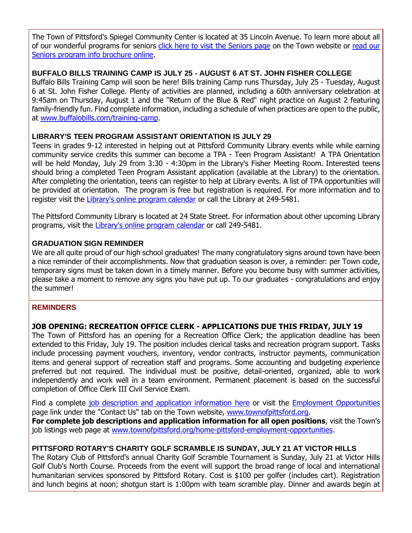The Town of Pittsford's Spiegel Community Center is located at 35 Lincoln Avenue. To learn more about all of our wonderful programs for seniors [click here to visit the Seniors page](http://r20.rs6.net/tn.jsp?f=001FzBtVmhWFRTGpRoPogF4hpVNE6fiST77Wh-8TjJCqrysiddaF9Xxb57Cew3dlTkmtuVVX2qe3_Wo1gQTJ89smkhO_gMTEZTd2O7j9Scrl55lO8KRJnwjlnfKGzBrvjMnUeGwKEdTvoTGSogbhc0mc5XVP4YWml4Xp79PD-_Rcn2Is3n7OwebFbgAgX73MGvD0JAvDx9VsrwLXDPR24UdIyBfR4ZgxbVQzgurf60M87CzS7BxIm4NGfGVMMtfXCts1du1thx8_rIEkRJLIQhZ--oBrfH4YIFZBCuU-0rlsGVYHrfj2kLT9mfBRrTprN4_&c=f6doUN7CL5P8sS6b4MquVnZdJSpUgqyWz_IYusDOdvtcP7OIhoE-6A==&ch=aPRzLQFy8Q0ELC0uZaR2e5WhwBxGwoF6-A7zKIAvADUnP_pYAjW3Qg==) on the Town website or [read our](http://r20.rs6.net/tn.jsp?f=001FzBtVmhWFRTGpRoPogF4hpVNE6fiST77Wh-8TjJCqrysiddaF9Xxb5d3Zx2I9np2EEifw9SFsDkDMXEMQErLKsh6L0jM9973fgfwWQWkIcLhxNR96qwkWuoYe22RSRNzQ-yZopscC9rpt593ICcEBRXAKSqU3fhFpp1vFrPpI0h0K1Yix3jQh1t9RMl5SZ1qdeGQ1dVnpfa3Qu4nzNhLVunlRAzx0eGrxZZl1jUrcbDQOxM-Qy-2t3I3jEb8tPwK53wyDc7XlT9bDCPNb7XkCkQ6REzKI8M30owVSoAizIOMoY3aCyj-rwA6yIq4yfNLhG_LG20CrKba6KJikblbdoqW_LrFMqboSOZ80BbVoWWpM74yGcJ4iQ==&c=f6doUN7CL5P8sS6b4MquVnZdJSpUgqyWz_IYusDOdvtcP7OIhoE-6A==&ch=aPRzLQFy8Q0ELC0uZaR2e5WhwBxGwoF6-A7zKIAvADUnP_pYAjW3Qg==)  [Seniors program info brochure online.](http://r20.rs6.net/tn.jsp?f=001FzBtVmhWFRTGpRoPogF4hpVNE6fiST77Wh-8TjJCqrysiddaF9Xxb5d3Zx2I9np2EEifw9SFsDkDMXEMQErLKsh6L0jM9973fgfwWQWkIcLhxNR96qwkWuoYe22RSRNzQ-yZopscC9rpt593ICcEBRXAKSqU3fhFpp1vFrPpI0h0K1Yix3jQh1t9RMl5SZ1qdeGQ1dVnpfa3Qu4nzNhLVunlRAzx0eGrxZZl1jUrcbDQOxM-Qy-2t3I3jEb8tPwK53wyDc7XlT9bDCPNb7XkCkQ6REzKI8M30owVSoAizIOMoY3aCyj-rwA6yIq4yfNLhG_LG20CrKba6KJikblbdoqW_LrFMqboSOZ80BbVoWWpM74yGcJ4iQ==&c=f6doUN7CL5P8sS6b4MquVnZdJSpUgqyWz_IYusDOdvtcP7OIhoE-6A==&ch=aPRzLQFy8Q0ELC0uZaR2e5WhwBxGwoF6-A7zKIAvADUnP_pYAjW3Qg==)

#### **BUFFALO BILLS TRAINING CAMP IS JULY 25 - AUGUST 6 AT ST. JOHN FISHER COLLEGE**

Buffalo Bills Training Camp will soon be here! Bills training Camp runs Thursday, July 25 - Tuesday, August 6 at St. John Fisher College. Plenty of activities are planned, including a 60th anniversary celebration at 9:45am on Thursday, August 1 and the "Return of the Blue & Red" night practice on August 2 featuring family-friendly fun. Find complete information, including a schedule of when practices are open to the public, at [www.buffalobills.com/training-camp.](http://r20.rs6.net/tn.jsp?f=001FzBtVmhWFRTGpRoPogF4hpVNE6fiST77Wh-8TjJCqrysiddaF9Xxb-ykGSPD6LyntbQvh52EVC2WqMBKjFYFicBbUPKYd_r9ghxrk9iZNpsCn3WwOPlI3_TEkJv7jaUUsnLaOAZ7KcfjmovMKBvBMeivYat2C8cQcOMjXtF_ZUpUk4aVuKqV_vMhJXWs6p8Lc1ztAbn9jp9txjuEE1x2iBAi42O_P7fWMCD_3AhXEgQ_DXkJFAI0W-jmYMNLnPZyeEUp9cDThxKG0n5M_Gbs2hWMs0A7tcrdMflgo_VPeK0t9mkAiPPymQ==&c=f6doUN7CL5P8sS6b4MquVnZdJSpUgqyWz_IYusDOdvtcP7OIhoE-6A==&ch=aPRzLQFy8Q0ELC0uZaR2e5WhwBxGwoF6-A7zKIAvADUnP_pYAjW3Qg==)

#### **LIBRARY'S TEEN PROGRAM ASSISTANT ORIENTATION IS JULY 29**

Teens in grades 9-12 interested in helping out at Pittsford Community Library events while while earning community service credits this summer can become a TPA - Teen Program Assistant! A TPA Orientation will be held Monday, July 29 from 3:30 - 4:30pm in the Library's Fisher Meeting Room. Interested teens should bring a completed Teen Program Assistant application (available at the Library) to the orientation. After completing the orientation, teens can register to help at Library events. A list of TPA opportunities will be provided at orientation. The program is free but registration is required. For more information and to register visit the [Library's online program calendar](http://r20.rs6.net/tn.jsp?f=001FzBtVmhWFRTGpRoPogF4hpVNE6fiST77Wh-8TjJCqrysiddaF9Xxb3VqomQ8wKA7UDYT8cUX6c1Zd90agyki2kA6jk1Vk-pWYG1aDRfzjOSVYu7ga3yKgX51_NGv6iT5pcvz9xZ6RercxfR7olPjX5jOfvmEBsGlVljeTsUyCBLeLT3GfB80WdiO1hPBla2CxFjR0no62KyZ0WsQZ6VY55okwjlMZiyyGYX3J7kOTkLukKPT1zcXSYk5gVihGDmPhg7-ocJ0kuQF2vC9RSOr6hQWk95wkBhn5do__dOxUIzVnJkLdT82K52XGr3UKcCgQdkyn_aSPWc_PM00EprmpKUSuo-QAioWQbT4nt3ag39_wDINF4oqb3oV-tmEr8-l_Aw0yYZVBcL7JIm8NOAaEpJir3v9BSsh&c=f6doUN7CL5P8sS6b4MquVnZdJSpUgqyWz_IYusDOdvtcP7OIhoE-6A==&ch=aPRzLQFy8Q0ELC0uZaR2e5WhwBxGwoF6-A7zKIAvADUnP_pYAjW3Qg==) or call the Library at 249-5481.

The Pittsford Community Library is located at 24 State Street. For information about other upcoming Library programs, visit the [Library's online program calendar](http://r20.rs6.net/tn.jsp?f=001FzBtVmhWFRTGpRoPogF4hpVNE6fiST77Wh-8TjJCqrysiddaF9Xxb3VqomQ8wKA7UDYT8cUX6c1Zd90agyki2kA6jk1Vk-pWYG1aDRfzjOSVYu7ga3yKgX51_NGv6iT5pcvz9xZ6RercxfR7olPjX5jOfvmEBsGlVljeTsUyCBLeLT3GfB80WdiO1hPBla2CxFjR0no62KyZ0WsQZ6VY55okwjlMZiyyGYX3J7kOTkLukKPT1zcXSYk5gVihGDmPhg7-ocJ0kuQF2vC9RSOr6hQWk95wkBhn5do__dOxUIzVnJkLdT82K52XGr3UKcCgQdkyn_aSPWc_PM00EprmpKUSuo-QAioWQbT4nt3ag39_wDINF4oqb3oV-tmEr8-l_Aw0yYZVBcL7JIm8NOAaEpJir3v9BSsh&c=f6doUN7CL5P8sS6b4MquVnZdJSpUgqyWz_IYusDOdvtcP7OIhoE-6A==&ch=aPRzLQFy8Q0ELC0uZaR2e5WhwBxGwoF6-A7zKIAvADUnP_pYAjW3Qg==) or call 249-5481.

#### **GRADUATION SIGN REMINDER**

We are all quite proud of our high school graduates! The many congratulatory signs around town have been a nice reminder of their accomplishments. Now that graduation season is over, a reminder: per Town code, temporary signs must be taken down in a timely manner. Before you become busy with summer activities, please take a moment to remove any signs you have put up. To our graduates - congratulations and enjoy the summer!

#### **REMINDERS**

#### **JOB OPENING: RECREATION OFFICE CLERK - APPLICATIONS DUE THIS FRIDAY, JULY 19**

The Town of Pittsford has an opening for a Recreation Office Clerk; the application deadline has been extended to this Friday, July 19. The position includes clerical tasks and recreation program support. Tasks include processing payment vouchers, inventory, vendor contracts, instructor payments, communication items and general support of recreation staff and programs. Some accounting and budgeting experience preferred but not required. The individual must be positive, detail-oriented, organized, able to work independently and work well in a team environment. Permanent placement is based on the successful completion of Office Clerk III Civil Service Exam.

Find a complete [job description and application information here](http://r20.rs6.net/tn.jsp?f=001FzBtVmhWFRTGpRoPogF4hpVNE6fiST77Wh-8TjJCqrysiddaF9Xxb3gp47iMKK9fld7q_LTMkCMHaqfA6sf_6onAFE2X6m7BGlGUw7ClptKI_cyzLr-1d1oV_cXmRKCMPWB6xTJIV-JU5De-_CEpDsLGrMG5fTGXya9xXN1pQR2DBvIXe6BqMVamfBcjcBbaud49lKCL5pqhe4vw0e2FCwl5FscXsmA3EyUS8YlYTOTyZ0Qg8Tilu1MMrd5ZibXR6QXvSiPn6qJaV29s_Ok2qwMRHnXLWER-Me7IbjJ5XUwBRrqNSYDbvPqgWe8O_GXLf19MDVIuQCJBck4PLYCXRAP9As-V42REgXaJQMvNzgmUaS9yGzd6-rkEJQ-vE9E_IhVQWcGxJLCkmL8LjkiT1bEf_NaX9Uf4&c=f6doUN7CL5P8sS6b4MquVnZdJSpUgqyWz_IYusDOdvtcP7OIhoE-6A==&ch=aPRzLQFy8Q0ELC0uZaR2e5WhwBxGwoF6-A7zKIAvADUnP_pYAjW3Qg==) or visit the [Employment Opportunities](http://r20.rs6.net/tn.jsp?f=001FzBtVmhWFRTGpRoPogF4hpVNE6fiST77Wh-8TjJCqrysiddaF9Xxb_vfhXFkAvYKiRUiu-XivFJDWIrYCgxtlyvMLMW6JwI-jsB3z16GE33hyu0i1abOpLhpAA3TlCR7o9laNs1YdwCdzMoov623tQ1xrlrsdRpSnKU6Q8m-ykZB03Y1cwiN2ufWAY9xcoXY9XwQoNAZ6Uk2JgVtHRt83CdkBnP_U5IEKTiYbZ3LOvKr_lNrDBt1OUNtoCm0Jlq14-R_rMZZn8m1nEhCcD4j8kCRFW88H2AUB3tN-q7-Eqb1tK310xLk9pW21YarPhcQptL3jRj51Uf3jg646SokDvjdpnRqE2b0&c=f6doUN7CL5P8sS6b4MquVnZdJSpUgqyWz_IYusDOdvtcP7OIhoE-6A==&ch=aPRzLQFy8Q0ELC0uZaR2e5WhwBxGwoF6-A7zKIAvADUnP_pYAjW3Qg==) page link under the "Contact Us" tab on the Town website, [www.townofpittsford.org.](http://www.townofpittsford.org/) **For complete job descriptions and application information for all open positions**, visit the Town's job listings web page at [www.townofpittsford.org/home-pittsford-employment-opportunities.](http://r20.rs6.net/tn.jsp?f=001FzBtVmhWFRTGpRoPogF4hpVNE6fiST77Wh-8TjJCqrysiddaF9Xxb_vfhXFkAvYKiRUiu-XivFJDWIrYCgxtlyvMLMW6JwI-jsB3z16GE33hyu0i1abOpLhpAA3TlCR7o9laNs1YdwCdzMoov623tQ1xrlrsdRpSnKU6Q8m-ykZB03Y1cwiN2ufWAY9xcoXY9XwQoNAZ6Uk2JgVtHRt83CdkBnP_U5IEKTiYbZ3LOvKr_lNrDBt1OUNtoCm0Jlq14-R_rMZZn8m1nEhCcD4j8kCRFW88H2AUB3tN-q7-Eqb1tK310xLk9pW21YarPhcQptL3jRj51Uf3jg646SokDvjdpnRqE2b0&c=f6doUN7CL5P8sS6b4MquVnZdJSpUgqyWz_IYusDOdvtcP7OIhoE-6A==&ch=aPRzLQFy8Q0ELC0uZaR2e5WhwBxGwoF6-A7zKIAvADUnP_pYAjW3Qg==)

#### **PITTSFORD ROTARY'S CHARITY GOLF SCRAMBLE IS SUNDAY, JULY 21 AT VICTOR HILLS**

The Rotary Club of Pittsford's annual Charity Golf Scramble Tournament is Sunday, July 21 at Victor Hills Golf Club's North Course. Proceeds from the event will support the broad range of local and international humanitarian services sponsored by Pittsford Rotary. Cost is \$100 per golfer (includes cart). Registration and lunch begins at noon; shotgun start is 1:00pm with team scramble play. Dinner and awards begin at